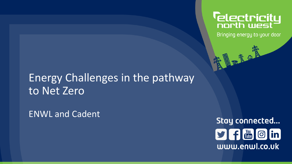# **Telectricity**<br>north west

Bringing energy to your door

東盟町食品

# Energy Challenges in the pathway to Net Zero

ENWL and Cadent

Stay connected...  $9f$   $^{64}$   $0$  in www.enwl.co.uk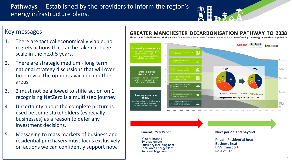#### Pathways - Established by the providers to inform the region's energy infrastructure plans.

#### Key messages

- 1. There are tactical economically viable, no regrets actions that can be taken at huge scale in the next 5 years.
- 2. There are strategic medium long term national strategy discussions that will over time revise the options available in other areas.
- 3. 2 must not be allowed to stifle action on 1 recognising NetZero is a multi step journey.
- 4. Uncertainty about the complete picture is used be some stakeholders (especially businesses) as a reason to defer any investment decisions.
- 5. Messaging to mass markets of business and residential purchasers must focus exclusively on actions we can confidently support now.

#### **GREATER MANCHESTER DECARBONISATION PATHWAY TO 2038**

Three tracks fuelled by seven priority actions for the Greater Manchester Combined Authority to start transforming the energy demand and supply now

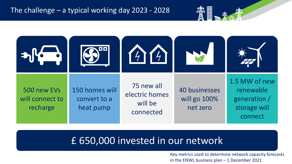

### £ 650,000 invested in our network

Key metrics used to determine network capacity forecasts in the ENWL business plan – 1 December 2021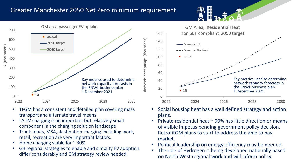#### Greater Manchester 2050 Net Zero minimum requirement



- TFGM has a consistent and detailed plan covering mass transport and alternate travel means.
- LA EV charging is an important but relatively small component in the charging solution landscape
- Trunk roads, MSA, destination charging including work, retail, recreation are very important factors.
- Home charging viable for  $\sim$  30%
- GB regional strategies to enable and simplify EV adoption differ considerably and GM strategy review needed.



- Social housing heat has a well defined strategy and action plans.
- Private residential heat  $\sim$  90% has little direction or means of visible impetus pending government policy decision. RetrofitGM plans to start to address the able to pay market.
- Political leadership on energy efficiency may be needed.
- The role of Hydrogen is being developed nationally based on North West regional work and will inform policy.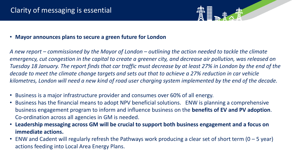

• **Mayor announces plans to secure a green future for London**

*A new report – commissioned by the Mayor of London – outlining the action needed to tackle the climate emergency, cut congestion in the capital to create a greener city, and decrease air pollution, was released on Tuesday 18 January. The report finds that car traffic must decrease by at least 27% in London by the end of the decade to meet the climate change targets and sets out that to achieve a 27% reduction in car vehicle kilometres, London will need a new kind of road user charging system implemented by the end of the decade.* 

- Business is a major infrastructure provider and consumes over 60% of all energy.
- Business has the financial means to adopt NPV beneficial solutions. ENW is planning a comprehensive business engagement program to inform and influence business on the **benefits of EV and PV adoption**. Co-ordination across all agencies in GM is needed.
- **Leadership messaging across GM will be crucial to support both business engagement and a focus on immediate actions.**
- ENW and Cadent will regularly refresh the Pathways work producing a clear set of short term (0 5 year) actions feeding into Local Area Energy Plans.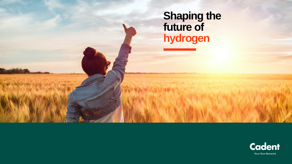# **Shaping the future of hydrogen**

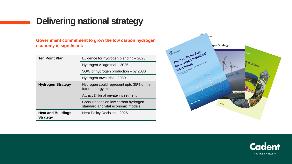## **Delivering national strategy**

**Government commitment to grow the low carbon hydrogen economy is significant:**

| <b>Ten Point Plan</b>                        | Evidence for hydrogen blending - 2023                                      |
|----------------------------------------------|----------------------------------------------------------------------------|
|                                              | Hydrogen village trial - 2025                                              |
|                                              | 5GW of hydrogen production - by 2030                                       |
|                                              | Hydrogen town trial - 2030                                                 |
| <b>Hydrogen Strategy</b>                     | Hydrogen could represent upto 35% of the<br>future energy mix              |
|                                              | Attract £4bn of private investment                                         |
|                                              | Consultations on low carbon hydrogen<br>standard and vital economic models |
| <b>Heat and Buildings</b><br><b>Strategy</b> | Heat Policy Decision - 2026                                                |